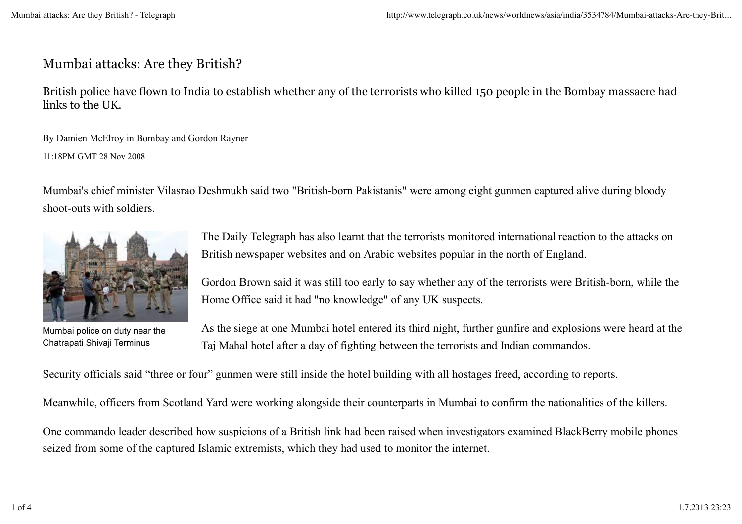## Mumbai attacks: Are they British?

British police have flown to India to establish whether any of the terrorists who killed 150 people in the Bombay massacre had links to the UK.

By Damien McElroy in Bombay and Gordon Rayner 11:18PM GMT 28 Nov 2008

Mumbai's chief minister Vilasrao Deshmukh said two "British-born Pakistanis" were among eight gunmen captured alive during bloody shoot-outs with soldiers.



Mumbai police on duty near the Chatrapati Shivaji Terminus

The Daily Telegraph has also learnt that the terrorists monitored international reaction to the attacks on British newspaper websites and on Arabic websites popular in the north of England.

Gordon Brown said it was still too early to say whether any of the terrorists were British-born, while the Home Office said it had "no knowledge" of any UK suspects.

As the siege at one Mumbai hotel entered its third night, further gunfire and explosions were heard at the Taj Mahal hotel after a day of fighting between the terrorists and Indian commandos.

Security officials said "three or four" gunmen were still inside the hotel building with all hostages freed, according to reports.

Meanwhile, officers from Scotland Yard were working alongside their counterparts in Mumbai to confirm the nationalities of the killers.

One commando leader described how suspicions of a British link had been raised when investigators examined BlackBerry mobile phones seized from some of the captured Islamic extremists, which they had used to monitor the internet.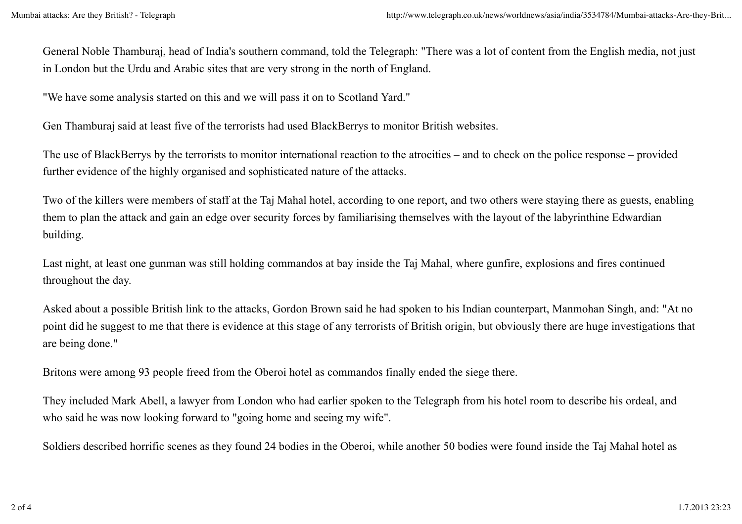General Noble Thamburaj, head of India's southern command, told the Telegraph: "There was a lot of content from the English media, not just in London but the Urdu and Arabic sites that are very strong in the north of England.

"We have some analysis started on this and we will pass it on to Scotland Yard."

Gen Thamburaj said at least five of the terrorists had used BlackBerrys to monitor British websites.

The use of BlackBerrys by the terrorists to monitor international reaction to the atrocities – and to check on the police response – provided further evidence of the highly organised and sophisticated nature of the attacks.

Two of the killers were members of staff at the Taj Mahal hotel, according to one report, and two others were staying there as guests, enabling them to plan the attack and gain an edge over security forces by familiarising themselves with the layout of the labyrinthine Edwardian building.

Last night, at least one gunman was still holding commandos at bay inside the Taj Mahal, where gunfire, explosions and fires continued throughout the day.

Asked about a possible British link to the attacks, Gordon Brown said he had spoken to his Indian counterpart, Manmohan Singh, and: "At no point did he suggest to me that there is evidence at this stage of any terrorists of British origin, but obviously there are huge investigations that are being done."

Britons were among 93 people freed from the Oberoi hotel as commandos finally ended the siege there.

They included Mark Abell, a lawyer from London who had earlier spoken to the Telegraph from his hotel room to describe his ordeal, and who said he was now looking forward to "going home and seeing my wife".

Soldiers described horrific scenes as they found 24 bodies in the Oberoi, while another 50 bodies were found inside the Taj Mahal hotel as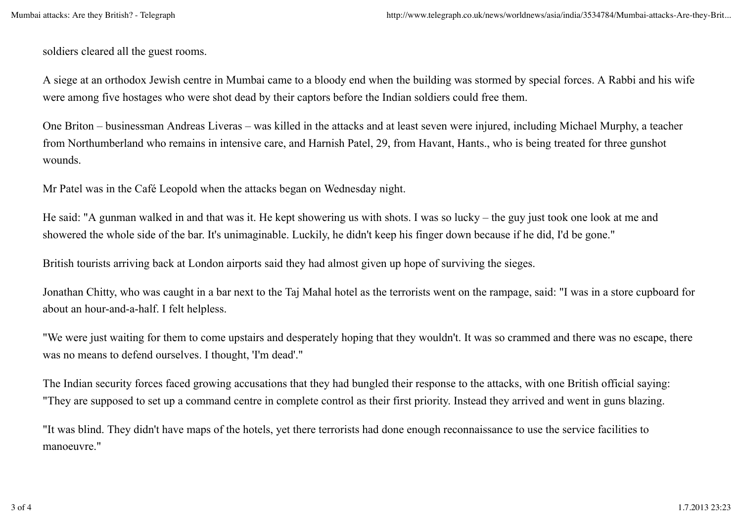soldiers cleared all the guest rooms.

A siege at an orthodox Jewish centre in Mumbai came to a bloody end when the building was stormed by special forces. A Rabbi and his wife were among five hostages who were shot dead by their captors before the Indian soldiers could free them.

One Briton – businessman Andreas Liveras – was killed in the attacks and at least seven were injured, including Michael Murphy, a teacher from Northumberland who remains in intensive care, and Harnish Patel, 29, from Havant, Hants., who is being treated for three gunshot wounds.

Mr Patel was in the Café Leopold when the attacks began on Wednesday night.

He said: "A gunman walked in and that was it. He kept showering us with shots. I was so lucky – the guy just took one look at me and showered the whole side of the bar. It's unimaginable. Luckily, he didn't keep his finger down because if he did, I'd be gone."

British tourists arriving back at London airports said they had almost given up hope of surviving the sieges.

Jonathan Chitty, who was caught in a bar next to the Taj Mahal hotel as the terrorists went on the rampage, said: "I was in a store cupboard for about an hour-and-a-half. I felt helpless.

"We were just waiting for them to come upstairs and desperately hoping that they wouldn't. It was so crammed and there was no escape, there was no means to defend ourselves. I thought, 'I'm dead'."

The Indian security forces faced growing accusations that they had bungled their response to the attacks, with one British official saying: "They are supposed to set up a command centre in complete control as their first priority. Instead they arrived and went in guns blazing.

"It was blind. They didn't have maps of the hotels, yet there terrorists had done enough reconnaissance to use the service facilities to manoeuvre."